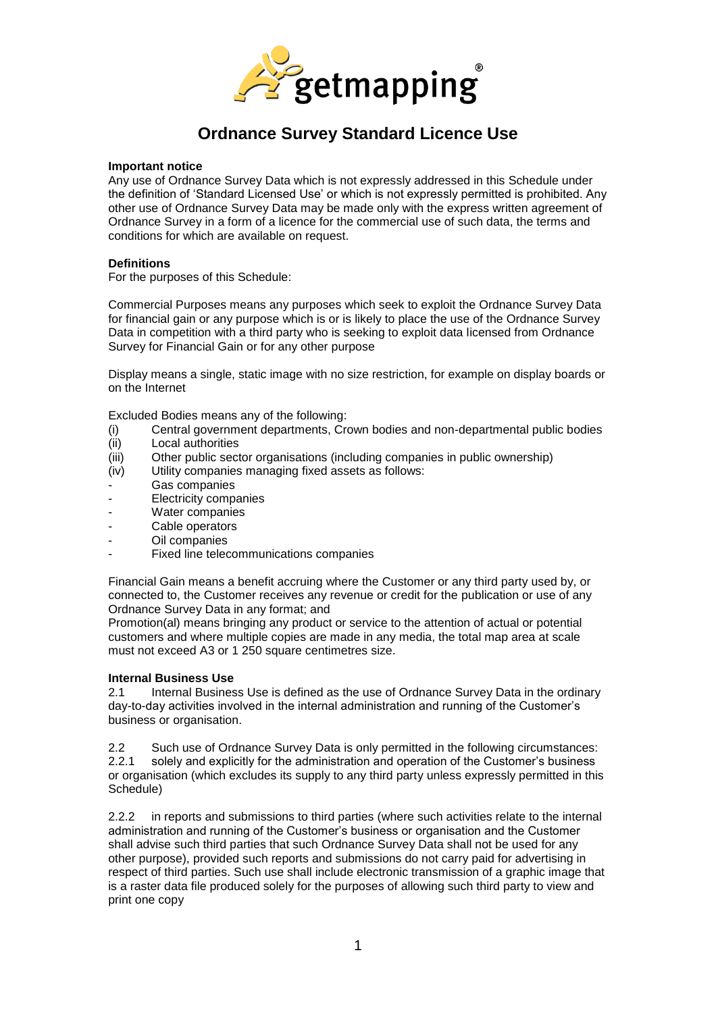

#### **Important notice**

Any use of Ordnance Survey Data which is not expressly addressed in this Schedule under the definition of 'Standard Licensed Use' or which is not expressly permitted is prohibited. Any other use of Ordnance Survey Data may be made only with the express written agreement of Ordnance Survey in a form of a licence for the commercial use of such data, the terms and conditions for which are available on request.

#### **Definitions**

For the purposes of this Schedule:

Commercial Purposes means any purposes which seek to exploit the Ordnance Survey Data for financial gain or any purpose which is or is likely to place the use of the Ordnance Survey Data in competition with a third party who is seeking to exploit data licensed from Ordnance Survey for Financial Gain or for any other purpose

Display means a single, static image with no size restriction, for example on display boards or on the Internet

Excluded Bodies means any of the following:

- (i) Central government departments, Crown bodies and non-departmental public bodies
- (ii) Local authorities<br>(iii) Other public sect
- Other public sector organisations (including companies in public ownership)
- (iv) Utility companies managing fixed assets as follows:
- Gas companies
- Electricity companies
- Water companies
- Cable operators
- Oil companies
- Fixed line telecommunications companies

Financial Gain means a benefit accruing where the Customer or any third party used by, or connected to, the Customer receives any revenue or credit for the publication or use of any Ordnance Survey Data in any format; and

Promotion(al) means bringing any product or service to the attention of actual or potential customers and where multiple copies are made in any media, the total map area at scale must not exceed A3 or 1 250 square centimetres size.

### **Internal Business Use**

2.1 Internal Business Use is defined as the use of Ordnance Survey Data in the ordinary day-to-day activities involved in the internal administration and running of the Customer's business or organisation.

2.2 Such use of Ordnance Survey Data is only permitted in the following circumstances: 2.2.1 solely and explicitly for the administration and operation of the Customer's business or organisation (which excludes its supply to any third party unless expressly permitted in this Schedule)

2.2.2 in reports and submissions to third parties (where such activities relate to the internal administration and running of the Customer's business or organisation and the Customer shall advise such third parties that such Ordnance Survey Data shall not be used for any other purpose), provided such reports and submissions do not carry paid for advertising in respect of third parties. Such use shall include electronic transmission of a graphic image that is a raster data file produced solely for the purposes of allowing such third party to view and print one copy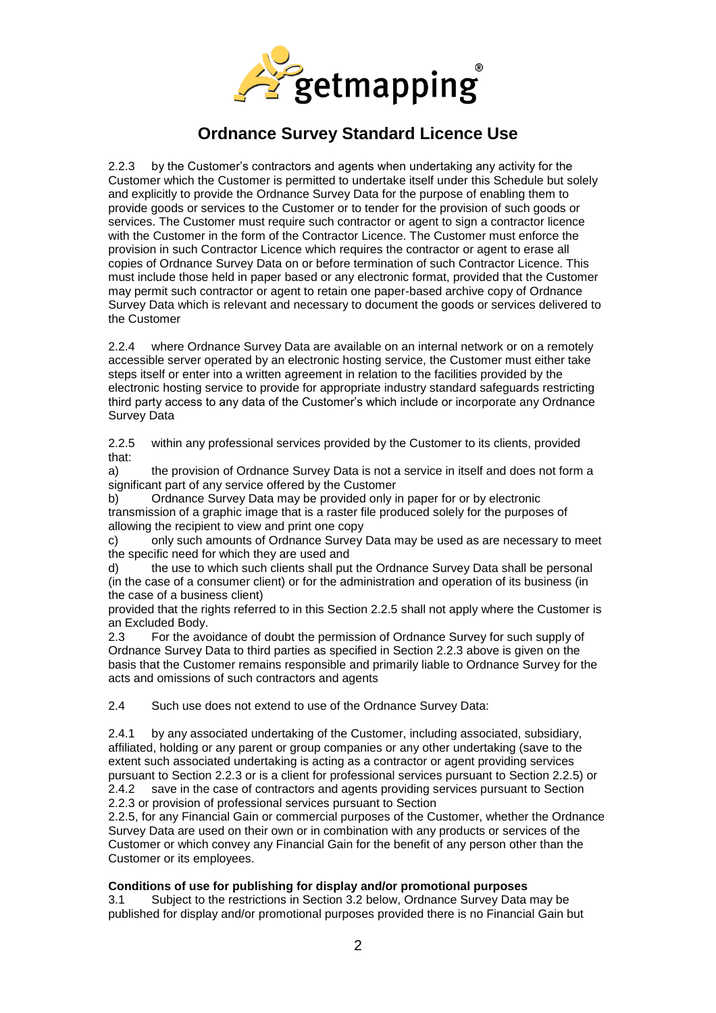

2.2.3 by the Customer's contractors and agents when undertaking any activity for the Customer which the Customer is permitted to undertake itself under this Schedule but solely and explicitly to provide the Ordnance Survey Data for the purpose of enabling them to provide goods or services to the Customer or to tender for the provision of such goods or services. The Customer must require such contractor or agent to sign a contractor licence with the Customer in the form of the Contractor Licence. The Customer must enforce the provision in such Contractor Licence which requires the contractor or agent to erase all copies of Ordnance Survey Data on or before termination of such Contractor Licence. This must include those held in paper based or any electronic format, provided that the Customer may permit such contractor or agent to retain one paper-based archive copy of Ordnance Survey Data which is relevant and necessary to document the goods or services delivered to the Customer

2.2.4 where Ordnance Survey Data are available on an internal network or on a remotely accessible server operated by an electronic hosting service, the Customer must either take steps itself or enter into a written agreement in relation to the facilities provided by the electronic hosting service to provide for appropriate industry standard safeguards restricting third party access to any data of the Customer's which include or incorporate any Ordnance Survey Data

2.2.5 within any professional services provided by the Customer to its clients, provided that:

a) the provision of Ordnance Survey Data is not a service in itself and does not form a significant part of any service offered by the Customer

b) Ordnance Survey Data may be provided only in paper for or by electronic transmission of a graphic image that is a raster file produced solely for the purposes of allowing the recipient to view and print one copy

c) only such amounts of Ordnance Survey Data may be used as are necessary to meet the specific need for which they are used and

d) the use to which such clients shall put the Ordnance Survey Data shall be personal (in the case of a consumer client) or for the administration and operation of its business (in the case of a business client)

provided that the rights referred to in this Section 2.2.5 shall not apply where the Customer is an Excluded Body.

2.3 For the avoidance of doubt the permission of Ordnance Survey for such supply of Ordnance Survey Data to third parties as specified in Section 2.2.3 above is given on the basis that the Customer remains responsible and primarily liable to Ordnance Survey for the acts and omissions of such contractors and agents

2.4 Such use does not extend to use of the Ordnance Survey Data:

2.4.1 by any associated undertaking of the Customer, including associated, subsidiary, affiliated, holding or any parent or group companies or any other undertaking (save to the extent such associated undertaking is acting as a contractor or agent providing services pursuant to Section 2.2.3 or is a client for professional services pursuant to Section 2.2.5) or 2.4.2 save in the case of contractors and agents providing services pursuant to Section 2.2.3 or provision of professional services pursuant to Section

2.2.5, for any Financial Gain or commercial purposes of the Customer, whether the Ordnance Survey Data are used on their own or in combination with any products or services of the Customer or which convey any Financial Gain for the benefit of any person other than the Customer or its employees.

### **Conditions of use for publishing for display and/or promotional purposes**

3.1 Subject to the restrictions in Section 3.2 below, Ordnance Survey Data may be published for display and/or promotional purposes provided there is no Financial Gain but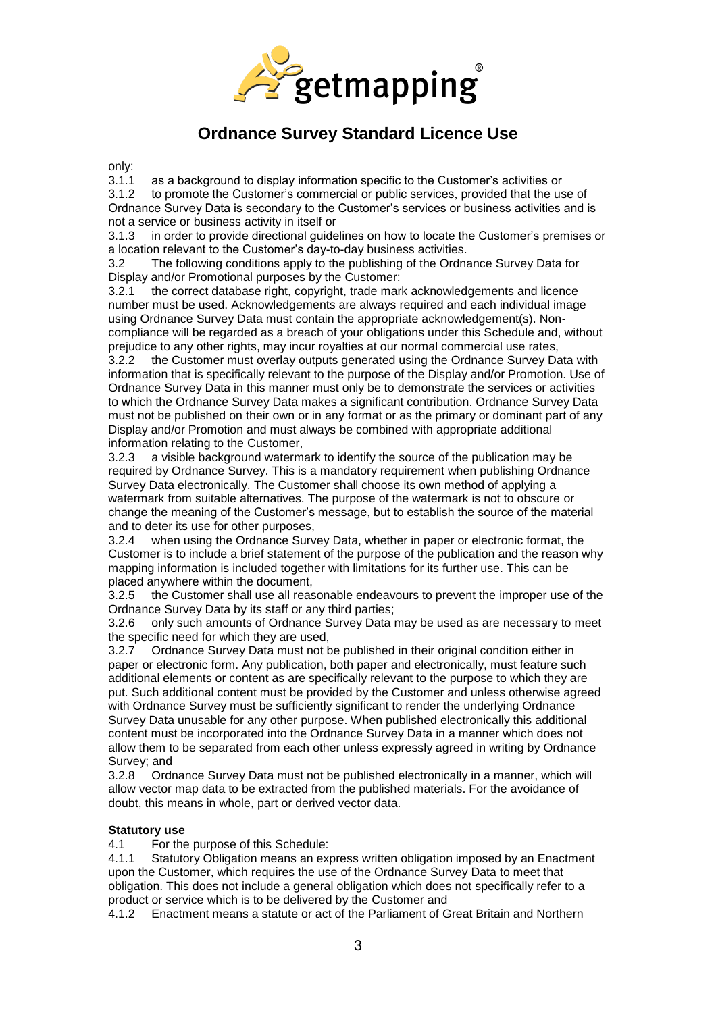

only:<br>3.1.1

3.1.1 as a background to display information specific to the Customer's activities or 3.1.2 to promote the Customer's commercial or public services, provided that the us to promote the Customer's commercial or public services, provided that the use of Ordnance Survey Data is secondary to the Customer's services or business activities and is not a service or business activity in itself or

3.1.3 in order to provide directional guidelines on how to locate the Customer's premises or a location relevant to the Customer's day-to-day business activities.

3.2 The following conditions apply to the publishing of the Ordnance Survey Data for Display and/or Promotional purposes by the Customer:

3.2.1 the correct database right, copyright, trade mark acknowledgements and licence number must be used. Acknowledgements are always required and each individual image using Ordnance Survey Data must contain the appropriate acknowledgement(s). Noncompliance will be regarded as a breach of your obligations under this Schedule and, without prejudice to any other rights, may incur royalties at our normal commercial use rates, 3.2.2 the Customer must overlay outputs generated using the Ordnance Survey Data with

information that is specifically relevant to the purpose of the Display and/or Promotion. Use of Ordnance Survey Data in this manner must only be to demonstrate the services or activities to which the Ordnance Survey Data makes a significant contribution. Ordnance Survey Data must not be published on their own or in any format or as the primary or dominant part of any Display and/or Promotion and must always be combined with appropriate additional information relating to the Customer,

3.2.3 a visible background watermark to identify the source of the publication may be required by Ordnance Survey. This is a mandatory requirement when publishing Ordnance Survey Data electronically. The Customer shall choose its own method of applying a watermark from suitable alternatives. The purpose of the watermark is not to obscure or change the meaning of the Customer's message, but to establish the source of the material and to deter its use for other purposes,

3.2.4 when using the Ordnance Survey Data, whether in paper or electronic format, the Customer is to include a brief statement of the purpose of the publication and the reason why mapping information is included together with limitations for its further use. This can be placed anywhere within the document,

3.2.5 the Customer shall use all reasonable endeavours to prevent the improper use of the Ordnance Survey Data by its staff or any third parties;

3.2.6 only such amounts of Ordnance Survey Data may be used as are necessary to meet the specific need for which they are used,

3.2.7 Ordnance Survey Data must not be published in their original condition either in paper or electronic form. Any publication, both paper and electronically, must feature such additional elements or content as are specifically relevant to the purpose to which they are put. Such additional content must be provided by the Customer and unless otherwise agreed with Ordnance Survey must be sufficiently significant to render the underlying Ordnance Survey Data unusable for any other purpose. When published electronically this additional content must be incorporated into the Ordnance Survey Data in a manner which does not allow them to be separated from each other unless expressly agreed in writing by Ordnance Survey; and

3.2.8 Ordnance Survey Data must not be published electronically in a manner, which will allow vector map data to be extracted from the published materials. For the avoidance of doubt, this means in whole, part or derived vector data.

### **Statutory use**

4.1 For the purpose of this Schedule:

4.1.1 Statutory Obligation means an express written obligation imposed by an Enactment upon the Customer, which requires the use of the Ordnance Survey Data to meet that obligation. This does not include a general obligation which does not specifically refer to a product or service which is to be delivered by the Customer and

4.1.2 Enactment means a statute or act of the Parliament of Great Britain and Northern